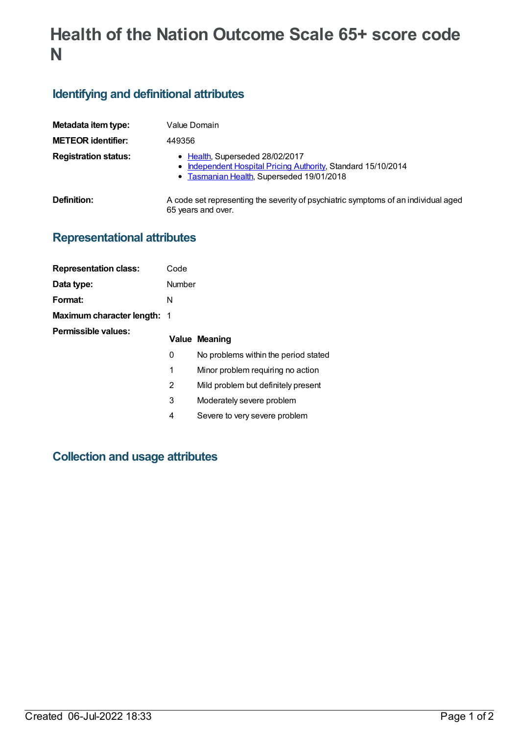# **Health of the Nation Outcome Scale 65+ score code N**

## **Identifying and definitional attributes**

| Metadata item type:         | Value Domain                                                                                                                                  |
|-----------------------------|-----------------------------------------------------------------------------------------------------------------------------------------------|
| <b>METEOR identifier:</b>   | 449356                                                                                                                                        |
| <b>Registration status:</b> | • Health, Superseded 28/02/2017<br>• Independent Hospital Pricing Authority, Standard 15/10/2014<br>• Tasmanian Health, Superseded 19/01/2018 |
| Definition:                 | A code set representing the severity of psychiatric symptoms of an individual aged<br>65 years and over.                                      |

## **Representational attributes**

| <b>Representation class:</b> | Code   |                                      |
|------------------------------|--------|--------------------------------------|
| Data type:                   | Number |                                      |
| Format:                      | N      |                                      |
| Maximum character length: 1  |        |                                      |
| Permissible values:          |        | <b>Value Meaning</b>                 |
|                              | 0      | No problems within the period stated |
|                              | 1      | Minor problem requiring no action    |
|                              | 2      | Mild problem but definitely present  |
|                              | 3      | Moderately severe problem            |
|                              | 4      | Severe to very severe problem        |

# **Collection and usage attributes**